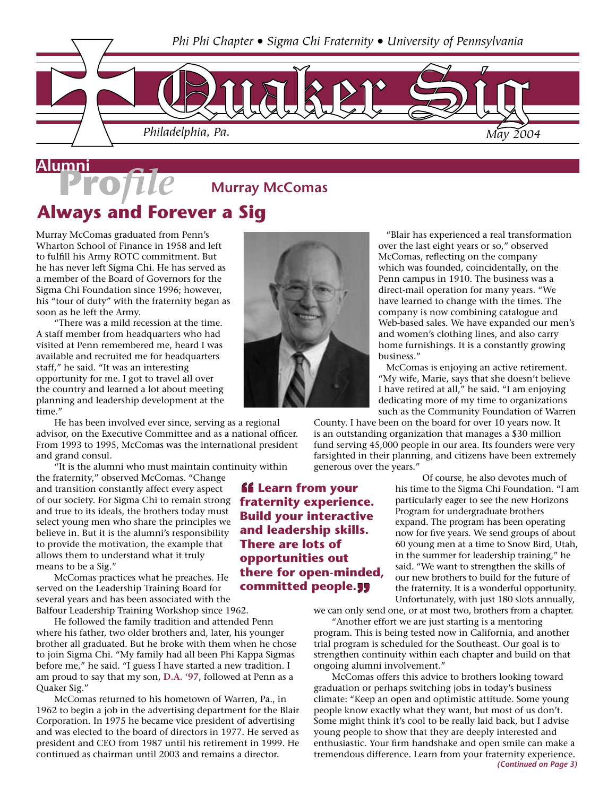

### **Murray McComas Always and Forever a Sig**

Murray McComas graduated from Penn's Wharton School of Finance in 1958 and left to fulfill his Army ROTC commitment. But he has never left Sigma Chi. He has served as a member of the Board of Governors for the Sigma Chi Foundation since 1996; however, his "tour of duty" with the fraternity began as soon as he left the Army.

 "There was a mild recession at the time. A staff member from headquarters who had visited at Penn remembered me, heard I was available and recruited me for headquarters staff," he said. "It was an interesting opportunity for me. I got to travel all over the country and learned a lot about meeting planning and leadership development at the time."

 He has been involved ever since, serving as a regional advisor, on the Executive Committee and as a national officer. From 1993 to 1995, McComas was the international president and grand consul.

"It is the alumni who must maintain continuity within

the fraternity," observed McComas. "Change and transition constantly affect every aspect of our society. For Sigma Chi to remain strong **fraternity experience.**  and true to its ideals, the brothers today must select young men who share the principles we believe in. But it is the alumni's responsibility to provide the motivation, the example that allows them to understand what it truly means to be a Sig."

 McComas practices what he preaches. He served on the Leadership Training Board for several years and has been associated with the Balfour Leadership Training Workshop since 1962.

 He followed the family tradition and attended Penn where his father, two older brothers and, later, his younger brother all graduated. But he broke with them when he chose to join Sigma Chi. "My family had all been Phi Kappa Sigmas before me," he said. "I guess I have started a new tradition. I am proud to say that my son, **D.A. '97**, followed at Penn as a Quaker Sig."

 McComas returned to his hometown of Warren, Pa., in 1962 to begin a job in the advertising department for the Blair Corporation. In 1975 he became vice president of advertising and was elected to the board of directors in 1977. He served as president and CEO from 1987 until his retirement in 1999. He continued as chairman until 2003 and remains a director.



 "Blair has experienced a real transformation over the last eight years or so," observed McComas, reflecting on the company which was founded, coincidentally, on the Penn campus in 1910. The business was a direct-mail operation for many years. "We have learned to change with the times. The company is now combining catalogue and Web-based sales. We have expanded our men's and women's clothing lines, and also carry home furnishings. It is a constantly growing business."

 McComas is enjoying an active retirement. "My wife, Marie, says that she doesn't believe I have retired at all," he said. "I am enjoying dedicating more of my time to organizations such as the Community Foundation of Warren

County. I have been on the board for over 10 years now. It is an outstanding organization that manages a \$30 million fund serving 45,000 people in our area. Its founders were very farsighted in their planning, and citizens have been extremely generous over the years."

> Of course, he also devotes much of his time to the Sigma Chi Foundation. "I am particularly eager to see the new Horizons Program for undergraduate brothers expand. The program has been operating now for five years. We send groups of about 60 young men at a time to Snow Bird, Utah, in the summer for leadership training," he said. "We want to strengthen the skills of our new brothers to build for the future of the fraternity. It is a wonderful opportunity. Unfortunately, with just 180 slots annually,

we can only send one, or at most two, brothers from a chapter.

 "Another effort we are just starting is a mentoring program. This is being tested now in California, and another trial program is scheduled for the Southeast. Our goal is to strengthen continuity within each chapter and build on that ongoing alumni involvement."

 McComas offers this advice to brothers looking toward graduation or perhaps switching jobs in today's business climate: "Keep an open and optimistic attitude. Some young people know exactly what they want, but most of us don't. Some might think it's cool to be really laid back, but I advise young people to show that they are deeply interested and enthusiastic. Your firm handshake and open smile can make a tremendous difference. Learn from your fraternity experience.

**Build your interactive and leadership skills. There are lots of opportunities out there for open-minded, committed people.**

*ff* Learn from your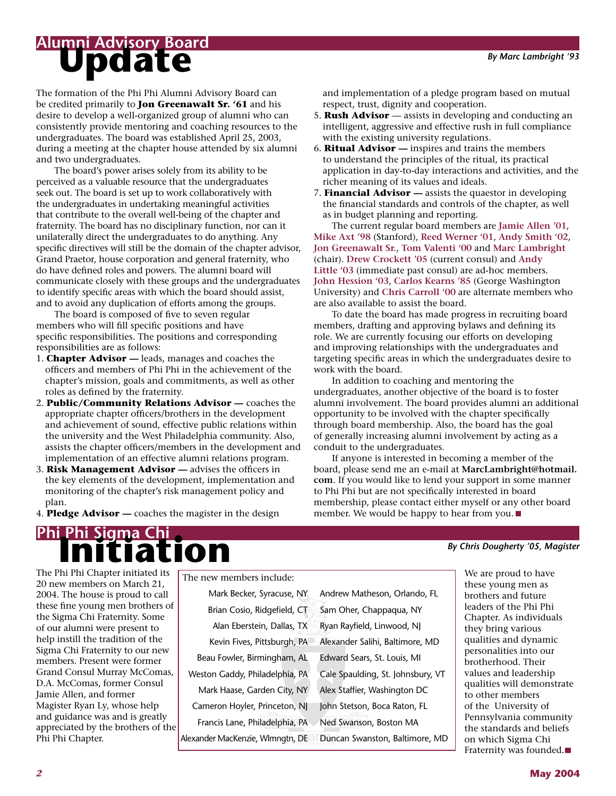## **Alumni Advisory Board**<br>**Update**

The formation of the Phi Phi Alumni Advisory Board can be credited primarily to **Jon Greenawalt Sr. '61** and his desire to develop a well-organized group of alumni who can consistently provide mentoring and coaching resources to the undergraduates. The board was established April 25, 2003, during a meeting at the chapter house attended by six alumni and two undergraduates.

 The board's power arises solely from its ability to be perceived as a valuable resource that the undergraduates seek out. The board is set up to work collaboratively with the undergraduates in undertaking meaningful activities that contribute to the overall well-being of the chapter and fraternity. The board has no disciplinary function, nor can it unilaterally direct the undergraduates to do anything. Any specific directives will still be the domain of the chapter advisor, Grand Praetor, house corporation and general fraternity, who do have defined roles and powers. The alumni board will communicate closely with these groups and the undergraduates to identify specific areas with which the board should assist, and to avoid any duplication of efforts among the groups.

 The board is composed of five to seven regular members who will fill specific positions and have specific responsibilities. The positions and corresponding responsibilities are as follows:

- 1. **Chapter Advisor —** leads, manages and coaches the officers and members of Phi Phi in the achievement of the chapter's mission, goals and commitments, as well as other roles as defined by the fraternity.
- 2. **Public/Community Relations Advisor** coaches the appropriate chapter officers/brothers in the development and achievement of sound, effective public relations within the university and the West Philadelphia community. Also, assists the chapter officers/members in the development and implementation of an effective alumni relations program.
- 3. **Risk Management Advisor —** advises the officers in the key elements of the development, implementation and monitoring of the chapter's risk management policy and plan.

4. **Pledge Advisor —** coaches the magister in the design

**Phi Phi Sigma Chi**<br>**Phi Li a Lion** 

The Phi Phi Chapter initiated its 20 new members on March 21, 2004. The house is proud to call these fine young men brothers of the Sigma Chi Fraternity. Some of our alumni were present to help instill the tradition of the Sigma Chi Fraternity to our new members. Present were former Grand Consul Murray McComas, D.A. McComas, former Consul Jamie Allen, and former Magister Ryan Ly, whose help and guidance was and is greatly appreciated by the brothers of the Phi Phi Chapter.

The new members include:

| Mark Becker, Syracuse, NY        | Andrew Matheson, Orlando, FL      |
|----------------------------------|-----------------------------------|
| Brian Cosio, Ridgefield, CT      | Sam Oher, Chappaqua, NY           |
| Alan Eberstein, Dallas, TX       | Ryan Rayfield, Linwood, NJ        |
| Kevin Fives, Pittsburgh, PA      | Alexander Salihi, Baltimore, MD   |
| Beau Fowler, Birmingham, AL      | Edward Sears, St. Louis, MI       |
| Weston Gaddy, Philadelphia, PA   | Cale Spaulding, St. Johnsbury, VT |
| Mark Haase, Garden City, NY      | Alex Staffier, Washington DC      |
| Cameron Hoyler, Princeton, NJ    | John Stetson, Boca Raton, FL      |
| Francis Lane, Philadelphia, PA   | Ned Swanson, Boston MA            |
| Alexander MacKenzie, Wlmngtn, DE | Duncan Swanston, Baltimore, MD    |
|                                  |                                   |

and implementation of a pledge program based on mutual respect, trust, dignity and cooperation.

- 5. **Rush Advisor**  assists in developing and conducting an intelligent, aggressive and effective rush in full compliance with the existing university regulations.
- 6. **Ritual Advisor —** inspires and trains the members to understand the principles of the ritual, its practical application in day-to-day interactions and activities, and the richer meaning of its values and ideals.
- 7. **Financial Advisor —** assists the quaestor in developing the financial standards and controls of the chapter, as well as in budget planning and reporting.

 The current regular board members are **Jamie Allen '01**, **Mike Axt '98** (Stanford), **Reed Werner '01**, **Andy Smith '02**, **Jon Greenawalt Sr.**, **Tom Valenti '00** and **Marc Lambright** (chair). **Drew Crockett '05** (current consul) and **Andy Little '03** (immediate past consul) are ad-hoc members. **John Hession '03**, **Carlos Kearns '85** (George Washington University) and **Chris Carroll '00** are alternate members who are also available to assist the board.

 To date the board has made progress in recruiting board members, drafting and approving bylaws and defining its role. We are currently focusing our efforts on developing and improving relationships with the undergraduates and targeting specific areas in which the undergraduates desire to work with the board.

 In addition to coaching and mentoring the undergraduates, another objective of the board is to foster alumni involvement. The board provides alumni an additional opportunity to be involved with the chapter specifically through board membership. Also, the board has the goal of generally increasing alumni involvement by acting as a conduit to the undergraduates.

 If anyone is interested in becoming a member of the board, please send me an e-mail at **MarcLambright@hotmail. com**. If you would like to lend your support in some manner to Phi Phi but are not specifically interested in board membership, please contact either myself or any other board member. We would be happy to hear from you. ■

#### *By Chris Dougherty '05, Magister*

We are proud to have these young men as brothers and future leaders of the Phi Phi Chapter. As individuals they bring various qualities and dynamic personalities into our brotherhood. Their values and leadership qualities will demonstrate to other members of the University of Pennsylvania community the standards and beliefs on which Sigma Chi Fraternity was founded.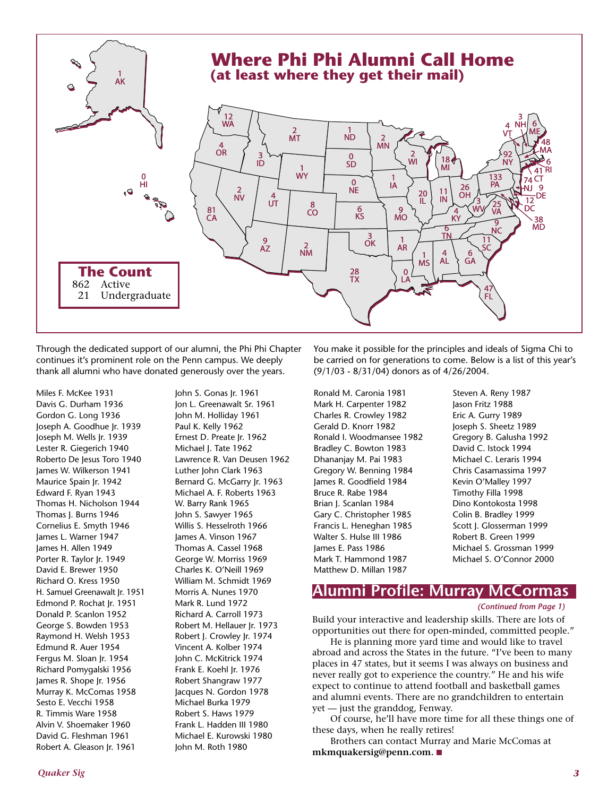

Through the dedicated support of our alumni, the Phi Phi Chapter continues it's prominent role on the Penn campus. We deeply thank all alumni who have donated generously over the years.

Miles F. McKee 1931 Davis G. Durham 1936 Gordon G. Long 1936 Joseph A. Goodhue Jr. 1939 Joseph M. Wells Jr. 1939 Lester R. Giegerich 1940 Roberto De Jesus Toro 1940 James W. Wilkerson 1941 Maurice Spain Jr. 1942 Edward F. Ryan 1943 Thomas H. Nicholson 1944 Thomas J. Burns 1946 Cornelius E. Smyth 1946 James L. Warner 1947 James H. Allen 1949 Porter R. Taylor Jr. 1949 David E. Brewer 1950 Richard O. Kress 1950 H. Samuel Greenawalt Jr. 1951 Edmond P. Rochat Jr. 1951 Donald P. Scanlon 1952 George S. Bowden 1953 Raymond H. Welsh 1953 Edmund R. Auer 1954 Fergus M. Sloan Jr. 1954 Richard Pomygalski 1956 James R. Shope Jr. 1956 Murray K. McComas 1958 Sesto E. Vecchi 1958 R. Timmis Ware 1958 Alvin V. Shoemaker 1960 David G. Fleshman 1961 Robert A. Gleason Jr. 1961

John S. Gonas Jr. 1961 Jon L. Greenawalt Sr. 1961 John M. Holliday 1961 Paul K. Kelly 1962 Ernest D. Preate Jr. 1962 Michael J. Tate 1962 Lawrence R. Van Deusen 1962 Luther John Clark 1963 Bernard G. McGarry Jr. 1963 Michael A. F. Roberts 1963 W. Barry Rank 1965 John S. Sawyer 1965 Willis S. Hesselroth 1966 James A. Vinson 1967 Thomas A. Cassel 1968 George W. Morriss 1969 Charles K. O'Neill 1969 William M. Schmidt 1969 Morris A. Nunes 1970 Mark R. Lund 1972 Richard A. Carroll 1973 Robert M. Hellauer Jr. 1973 Robert J. Crowley Jr. 1974 Vincent A. Kolber 1974 John C. McKitrick 1974 Frank E. Koehl Jr. 1976 Robert Shangraw 1977 Jacques N. Gordon 1978 Michael Burka 1979 Robert S. Haws 1979 Frank L. Hadden III 1980 Michael E. Kurowski 1980 John M. Roth 1980

You make it possible for the principles and ideals of Sigma Chi to be carried on for generations to come. Below is a list of this year's (9/1/03 - 8/31/04) donors as of 4/26/2004.

Ronald M. Caronia 1981 Mark H. Carpenter 1982 Charles R. Crowley 1982 Gerald D. Knorr 1982 Ronald I. Woodmansee 1982 Bradley C. Bowton 1983 Dhananjay M. Pai 1983 Gregory W. Benning 1984 James R. Goodfield 1984 Bruce R. Rabe 1984 Brian J. Scanlan 1984 Gary C. Christopher 1985 Francis L. Heneghan 1985 Walter S. Hulse III 1986 James E. Pass 1986 Mark T. Hammond 1987 Matthew D. Millan 1987

Steven A. Reny 1987 Jason Fritz 1988 Eric A. Gurry 1989 Joseph S. Sheetz 1989 Gregory B. Galusha 1992 David C. Istock 1994 Michael C. Leraris 1994 Chris Casamassima 1997 Kevin O'Malley 1997 Timothy Filla 1998 Dino Kontokosta 1998 Colin B. Bradley 1999 Scott J. Glosserman 1999 Robert B. Green 1999 Michael S. Grossman 1999 Michael S. O'Connor 2000

### **Alumni Profile: Murray McCormas**

#### *(Continued from Page 1)*

Build your interactive and leadership skills. There are lots of opportunities out there for open-minded, committed people."

 He is planning more yard time and would like to travel abroad and across the States in the future. "I've been to many places in 47 states, but it seems I was always on business and never really got to experience the country." He and his wife expect to continue to attend football and basketball games and alumni events. There are no grandchildren to entertain yet — just the granddog, Fenway.

 Of course, he'll have more time for all these things one of these days, when he really retires!

 Brothers can contact Murray and Marie McComas at **mkmquakersig@penn.com.**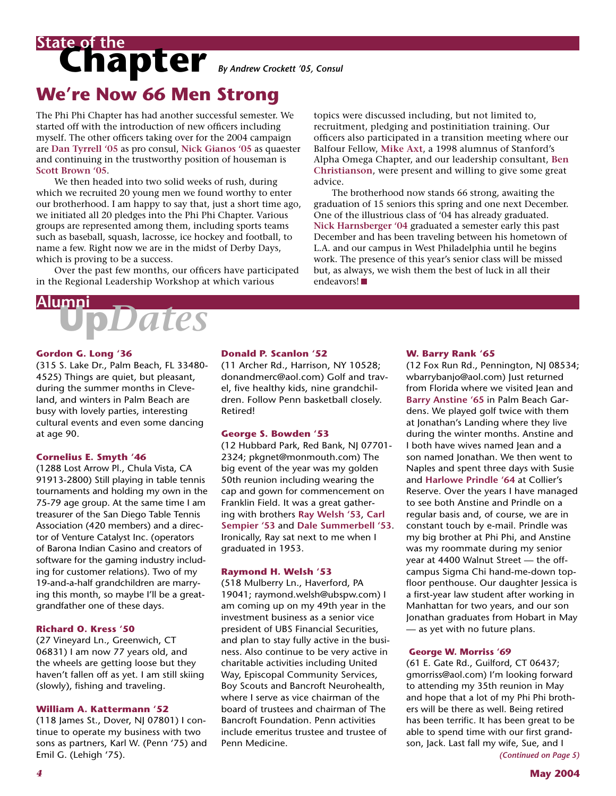### Chapter By Andrew Crockett '05, Consul **State of the**

### **We're Now 66 Men Strong**

The Phi Phi Chapter has had another successful semester. We started off with the introduction of new officers including myself. The other officers taking over for the 2004 campaign are **Dan Tyrrell '05** as pro consul, **Nick Gianos '05** as quaester and continuing in the trustworthy position of houseman is **Scott Brown '05**.

 We then headed into two solid weeks of rush, during which we recruited 20 young men we found worthy to enter our brotherhood. I am happy to say that, just a short time ago, we initiated all 20 pledges into the Phi Phi Chapter. Various groups are represented among them, including sports teams such as baseball, squash, lacrosse, ice hockey and football, to name a few. Right now we are in the midst of Derby Days, which is proving to be a success.

 Over the past few months, our officers have participated in the Regional Leadership Workshop at which various

## **Up***Dates* **Alumni**

**Gordon G. Long '36**

(315 S. Lake Dr., Palm Beach, FL 33480- 4525) Things are quiet, but pleasant, during the summer months in Cleveland, and winters in Palm Beach are busy with lovely parties, interesting cultural events and even some dancing at age 90.

#### **Cornelius E. Smyth '46**

(1288 Lost Arrow Pl., Chula Vista, CA 91913-2800) Still playing in table tennis tournaments and holding my own in the 75-79 age group. At the same time I am treasurer of the San Diego Table Tennis Association (420 members) and a director of Venture Catalyst Inc. (operators of Barona Indian Casino and creators of software for the gaming industry including for customer relations). Two of my 19-and-a-half grandchildren are marrying this month, so maybe I'll be a greatgrandfather one of these days.

#### **Richard O. Kress '50**

(27 Vineyard Ln., Greenwich, CT 06831) I am now 77 years old, and the wheels are getting loose but they haven't fallen off as yet. I am still skiing (slowly), fishing and traveling.

#### **William A. Kattermann '52**

(118 James St., Dover, NJ 07801) I continue to operate my business with two sons as partners, Karl W. (Penn '75) and Emil G. (Lehigh '75).

#### **Donald P. Scanlon '52**

(11 Archer Rd., Harrison, NY 10528; donandmerc@aol.com) Golf and travel, five healthy kids, nine grandchildren. Follow Penn basketball closely. Retired!

advice.

endeavors!

#### **George S. Bowden '53**

(12 Hubbard Park, Red Bank, NJ 07701- 2324; pkgnet@monmouth.com) The big event of the year was my golden 50th reunion including wearing the cap and gown for commencement on Franklin Field. It was a great gathering with brothers **Ray Welsh '53**, **Carl Sempier '53** and **Dale Summerbell '53**. Ironically, Ray sat next to me when I graduated in 1953.

#### **Raymond H. Welsh '53**

(518 Mulberry Ln., Haverford, PA 19041; raymond.welsh@ubspw.com) I am coming up on my 49th year in the investment business as a senior vice president of UBS Financial Securities, and plan to stay fully active in the business. Also continue to be very active in charitable activities including United Way, Episcopal Community Services, Boy Scouts and Bancroft Neurohealth, where I serve as vice chairman of the board of trustees and chairman of The Bancroft Foundation. Penn activities include emeritus trustee and trustee of Penn Medicine.

topics were discussed including, but not limited to, recruitment, pledging and postinitiation training. Our officers also participated in a transition meeting where our Balfour Fellow, **Mike Axt**, a 1998 alumnus of Stanford's Alpha Omega Chapter, and our leadership consultant, **Ben Christianson**, were present and willing to give some great

 The brotherhood now stands 66 strong, awaiting the graduation of 15 seniors this spring and one next December. One of the illustrious class of '04 has already graduated. **Nick Harnsberger '04** graduated a semester early this past December and has been traveling between his hometown of L.A. and our campus in West Philadelphia until he begins work. The presence of this year's senior class will be missed but, as always, we wish them the best of luck in all their

> **W. Barry Rank '65** (12 Fox Run Rd., Pennington, NJ 08534; wbarrybanjo@aol.com) Just returned from Florida where we visited Jean and **Barry Anstine '65** in Palm Beach Gardens. We played golf twice with them at Jonathan's Landing where they live during the winter months. Anstine and I both have wives named Jean and a son named Jonathan. We then went to Naples and spent three days with Susie and **Harlowe Prindle '64** at Collier's Reserve. Over the years I have managed to see both Anstine and Prindle on a regular basis and, of course, we are in constant touch by e-mail. Prindle was my big brother at Phi Phi, and Anstine was my roommate during my senior year at 4400 Walnut Street — the offcampus Sigma Chi hand-me-down topfloor penthouse. Our daughter Jessica is a first-year law student after working in Manhattan for two years, and our son Jonathan graduates from Hobart in May — as yet with no future plans.

#### **George W. Morriss '69**

(61 E. Gate Rd., Guilford, CT 06437; gmorriss@aol.com) I'm looking forward to attending my 35th reunion in May and hope that a lot of my Phi Phi brothers will be there as well. Being retired has been terrific. It has been great to be able to spend time with our first grandson, Jack. Last fall my wife, Sue, and I

*(Continued on Page 5)*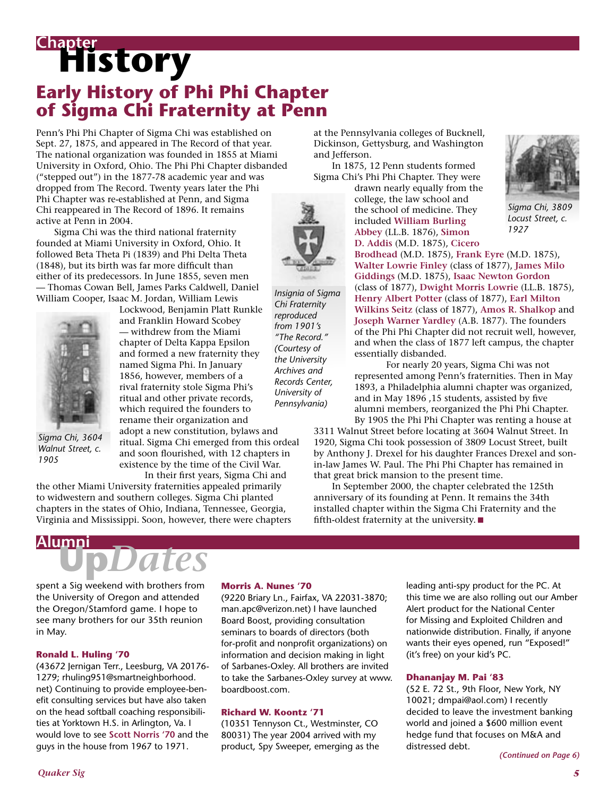## **History Chapter Early History of Phi Phi Chapter of Sigma Chi Fraternity at Penn**

Penn's Phi Phi Chapter of Sigma Chi was established on Sept. 27, 1875, and appeared in The Record of that year. The national organization was founded in 1855 at Miami University in Oxford, Ohio. The Phi Phi Chapter disbanded ("stepped out") in the 1877-78 academic year and was dropped from The Record. Twenty years later the Phi Phi Chapter was re-established at Penn, and Sigma Chi reappeared in The Record of 1896. It remains active at Penn in 2004.

 Sigma Chi was the third national fraternity founded at Miami University in Oxford, Ohio. It followed Beta Theta Pi (1839) and Phi Delta Theta (1848), but its birth was far more difficult than either of its predecessors. In June 1855, seven men — Thomas Cowan Bell, James Parks Caldwell, Daniel William Cooper, Isaac M. Jordan, William Lewis



*Sigma Chi, 3604 Walnut Street, c. 1905*

Lockwood, Benjamin Platt Runkle and Franklin Howard Scobey — withdrew from the Miami chapter of Delta Kappa Epsilon and formed a new fraternity they named Sigma Phi. In January 1856, however, members of a rival fraternity stole Sigma Phi's ritual and other private records, which required the founders to rename their organization and

adopt a new constitution, bylaws and ritual. Sigma Chi emerged from this ordeal and soon flourished, with 12 chapters in existence by the time of the Civil War. In their first years, Sigma Chi and

the other Miami University fraternities appealed primarily to widwestern and southern colleges. Sigma Chi planted chapters in the states of Ohio, Indiana, Tennessee, Georgia, Virginia and Mississippi. Soon, however, there were chapters at the Pennsylvania colleges of Bucknell, Dickinson, Gettysburg, and Washington and Jefferson.

 In 1875, 12 Penn students formed Sigma Chi's Phi Phi Chapter. They were

drawn nearly equally from the college, the law school and the school of medicine. They included **William Burling Abbey** (LL.B. 1876), **Simon D. Addis** (M.D. 1875), **Cicero** 



*Sigma Chi, 3809 Locust Street, c. 1927*

**Brodhead** (M.D. 1875), **Frank Eyre** (M.D. 1875), **Walter Lowrie Finley** (class of 1877), **James Milo Giddings** (M.D. 1875), **Isaac Newton Gordon** (class of 1877), **Dwight Morris Lowrie** (LL.B. 1875), **Henry Albert Potter** (class of 1877), **Earl Milton Wilkins Seitz** (class of 1877), **Amos R. Shalkop** and **Joseph Warner Yardley** (A.B. 1877). The founders of the Phi Phi Chapter did not recruit well, however, and when the class of 1877 left campus, the chapter essentially disbanded.

 For nearly 20 years, Sigma Chi was not represented among Penn's fraternities. Then in May 1893, a Philadelphia alumni chapter was organized, and in May 1896 ,15 students, assisted by five alumni members, reorganized the Phi Phi Chapter. By 1905 the Phi Phi Chapter was renting a house at

3311 Walnut Street before locating at 3604 Walnut Street. In 1920, Sigma Chi took possession of 3809 Locust Street, built by Anthony J. Drexel for his daughter Frances Drexel and sonin-law James W. Paul. The Phi Phi Chapter has remained in that great brick mansion to the present time.

 In September 2000, the chapter celebrated the 125th anniversary of its founding at Penn. It remains the 34th installed chapter within the Sigma Chi Fraternity and the fifth-oldest fraternity at the university.

# **Up***Dates* **Alumni**

spent a Sig weekend with brothers from the University of Oregon and attended the Oregon/Stamford game. I hope to see many brothers for our 35th reunion in May.

#### **Ronald L. Huling '70**

(43672 Jernigan Terr., Leesburg, VA 20176- 1279; rhuling951@smartneighborhood. net) Continuing to provide employee-benefit consulting services but have also taken on the head softball coaching responsibilities at Yorktown H.S. in Arlington, Va. I would love to see **Scott Norris '70** and the guys in the house from 1967 to 1971.

#### **Morris A. Nunes '70**

(9220 Briary Ln., Fairfax, VA 22031-3870; man.apc@verizon.net) I have launched Board Boost, providing consultation seminars to boards of directors (both for-profit and nonprofit organizations) on information and decision making in light of Sarbanes-Oxley. All brothers are invited to take the Sarbanes-Oxley survey at www. boardboost.com.

*Insignia of Sigma Chi Fraternity reproduced from 1901's "The Record." (Courtesy of the University Archives and Records Center, University of Pennsylvania)*

#### **Richard W. Koontz '71**

(10351 Tennyson Ct., Westminster, CO 80031) The year 2004 arrived with my product, Spy Sweeper, emerging as the leading anti-spy product for the PC. At this time we are also rolling out our Amber Alert product for the National Center for Missing and Exploited Children and nationwide distribution. Finally, if anyone wants their eyes opened, run "Exposed!" (it's free) on your kid's PC.

#### **Dhananjay M. Pai '83**

(52 E. 72 St., 9th Floor, New York, NY 10021; dmpai@aol.com) I recently decided to leave the investment banking world and joined a \$600 million event hedge fund that focuses on M&A and distressed debt.